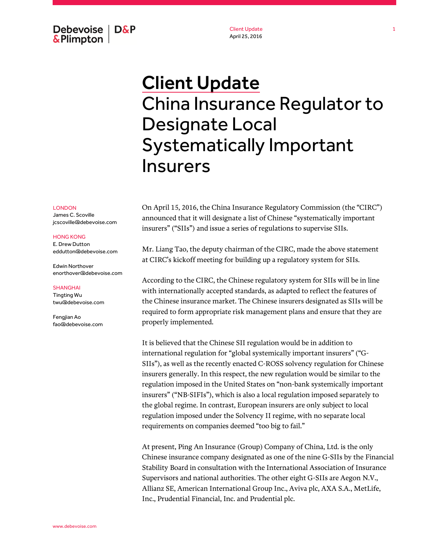Debevoise  $\overline{ }$  D&P **&Plimpton** 

Client Update April 25, 2016

## Client Update China Insurance Regulator to Designate Local Systematically Important Insurers

LONDON

James C. Scoville jcscoville@debevoise.com

## HONG KONG

E. Drew Dutton eddutton@debevoise.com

Edwin Northover enorthover@debevoise.com

## SHANGHAI

Tingting Wu twu@debevoise.com

Fengjian Ao fao@debevoise.com On April 15, 2016, the China Insurance Regulatory Commission (the "CIRC") announced that it will designate a list of Chinese "systematically important insurers" ("SIIs") and issue a series of regulations to supervise SIIs.

Mr. Liang Tao, the deputy chairman of the CIRC, made the above statement at CIRC's kickoff meeting for building up a regulatory system for SIIs.

According to the CIRC, the Chinese regulatory system for SIIs will be in line with internationally accepted standards, as adapted to reflect the features of the Chinese insurance market. The Chinese insurers designated as SIIs will be required to form appropriate risk management plans and ensure that they are properly implemented.

It is believed that the Chinese SII regulation would be in addition to international regulation for "global systemically important insurers" ("G-SIIs"), as well as the recently enacted C-ROSS solvency regulation for Chinese insurers generally. In this respect, the new regulation would be similar to the regulation imposed in the United States on "non-bank systemically important insurers" ("NB-SIFIs"), which is also a local regulation imposed separately to the global regime. In contrast, European insurers are only subject to local regulation imposed under the Solvency II regime, with no separate local requirements on companies deemed "too big to fail."

At present, Ping An Insurance (Group) Company of China, Ltd. is the only Chinese insurance company designated as one of the nine G-SIIs by the Financial Stability Board in consultation with the International Association of Insurance Supervisors and national authorities. The other eight G-SIIs are Aegon N.V., Allianz SE, American International Group Inc., Aviva plc, AXA S.A., MetLife, Inc., Prudential Financial, Inc. and Prudential plc.